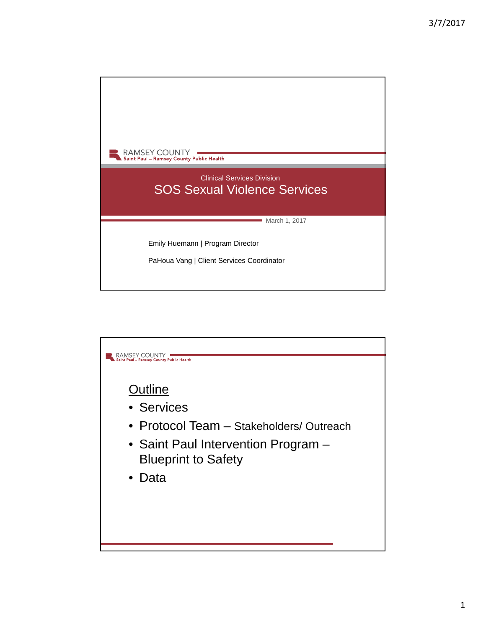

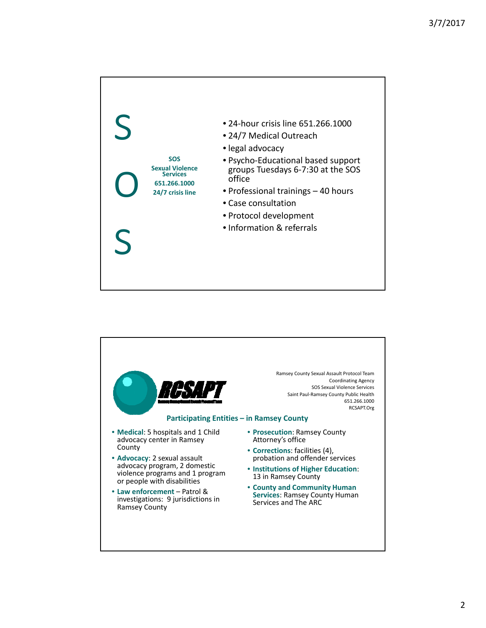

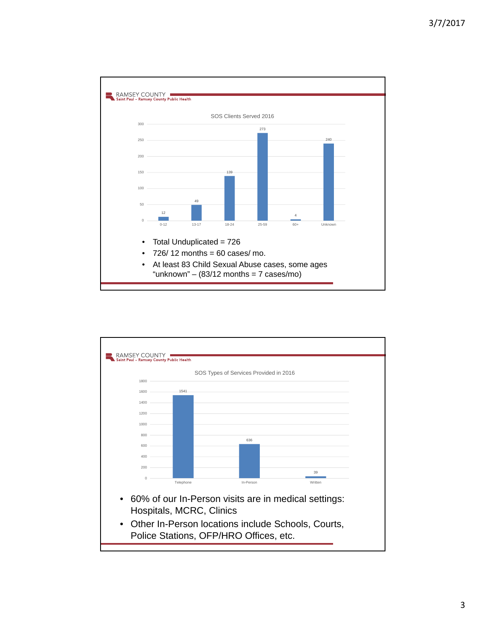

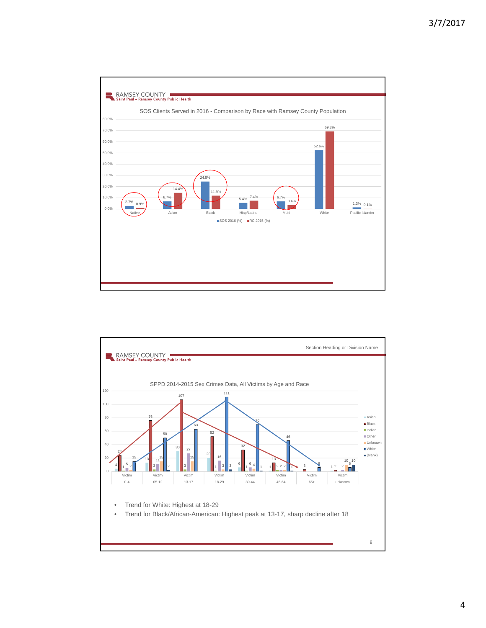